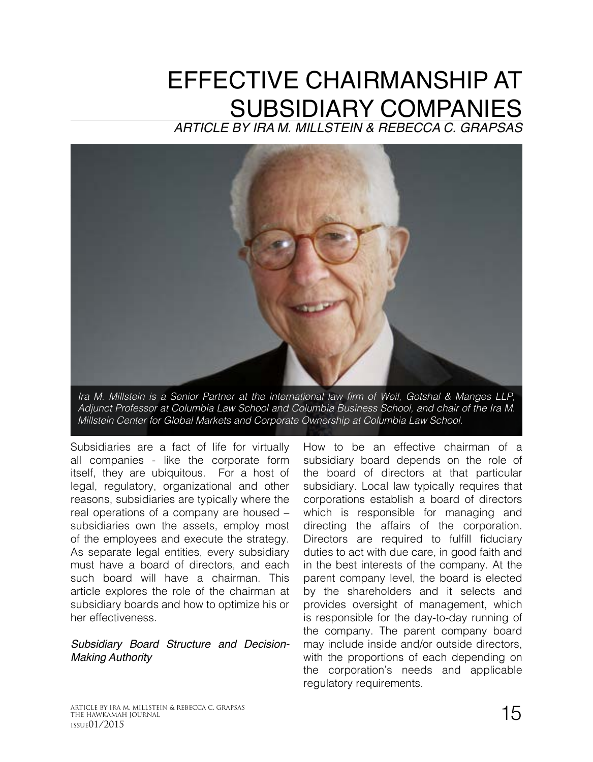# EFFECTIVE CHAIRMANSHIP AT SUBSIDIARY COMPANIES

*ARTICLE BY IRA M. MILLSTEIN & REBECCA C. GRAPSAS*



Ira M. Millstein is a Senior Partner at the international law firm of Weil, Gotshal & Manges LLP, *Adjunct Professor at Columbia Law School and Columbia Business School, and chair of the Ira M. Millstein Center for Global Markets and Corporate Ownership at Columbia Law School.* 

Subsidiaries are a fact of life for virtually all companies - like the corporate form itself, they are ubiquitous. For a host of legal, regulatory, organizational and other reasons, subsidiaries are typically where the real operations of a company are housed – subsidiaries own the assets, employ most of the employees and execute the strategy. As separate legal entities, every subsidiary must have a board of directors, and each such board will have a chairman. This article explores the role of the chairman at subsidiary boards and how to optimize his or her effectiveness.

#### *Subsidiary Board Structure and Decision-Making Authority*

How to be an effective chairman of a subsidiary board depends on the role of the board of directors at that particular subsidiary. Local law typically requires that corporations establish a board of directors which is responsible for managing and directing the affairs of the corporation. Directors are required to fulfill fiduciary duties to act with due care, in good faith and in the best interests of the company. At the parent company level, the board is elected by the shareholders and it selects and provides oversight of management, which is responsible for the day-to-day running of the company. The parent company board may include inside and/or outside directors, with the proportions of each depending on the corporation's needs and applicable regulatory requirements.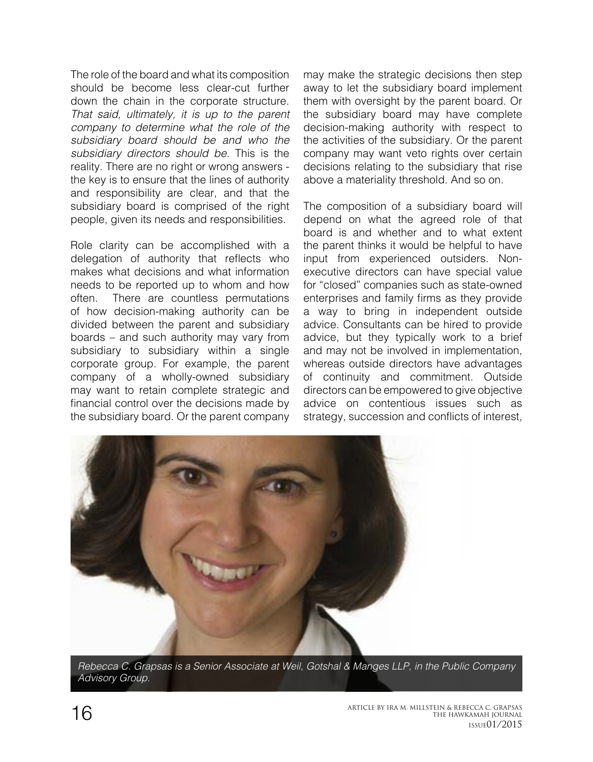The role of the board and what its composition should be become less clear-cut further down the chain in the corporate structure. *That said, ultimately, it is up to the parent company to determine what the role of the subsidiary board should be and who the subsidiary directors should be.* This is the reality. There are no right or wrong answers the key is to ensure that the lines of authority and responsibility are clear, and that the subsidiary board is comprised of the right people, given its needs and responsibilities.

Role clarity can be accomplished with a delegation of authority that reflects who makes what decisions and what information needs to be reported up to whom and how often. There are countless permutations of how decision-making authority can be divided between the parent and subsidiary boards – and such authority may vary from subsidiary to subsidiary within a single corporate group. For example, the parent company of a wholly-owned subsidiary may want to retain complete strategic and financial control over the decisions made by the subsidiary board. Or the parent company

may make the strategic decisions then step away to let the subsidiary board implement them with oversight by the parent board. Or the subsidiary board may have complete decision-making authority with respect to the activities of the subsidiary. Or the parent company may want veto rights over certain decisions relating to the subsidiary that rise above a materiality threshold. And so on.

The composition of a subsidiary board will depend on what the agreed role of that board is and whether and to what extent the parent thinks it would be helpful to have input from experienced outsiders. Nonexecutive directors can have special value for "closed" companies such as state-owned enterprises and family firms as they provide a way to bring in independent outside advice. Consultants can be hired to provide advice, but they typically work to a brief and may not be involved in implementation, whereas outside directors have advantages of continuity and commitment. Outside directors can be empowered to give objective advice on contentious issues such as strategy, succession and conflicts of interest,



*Rebecca C. Grapsas is a Senior Associate at Weil, Gotshal & Manges LLP, in the Public Company Advisory Group.*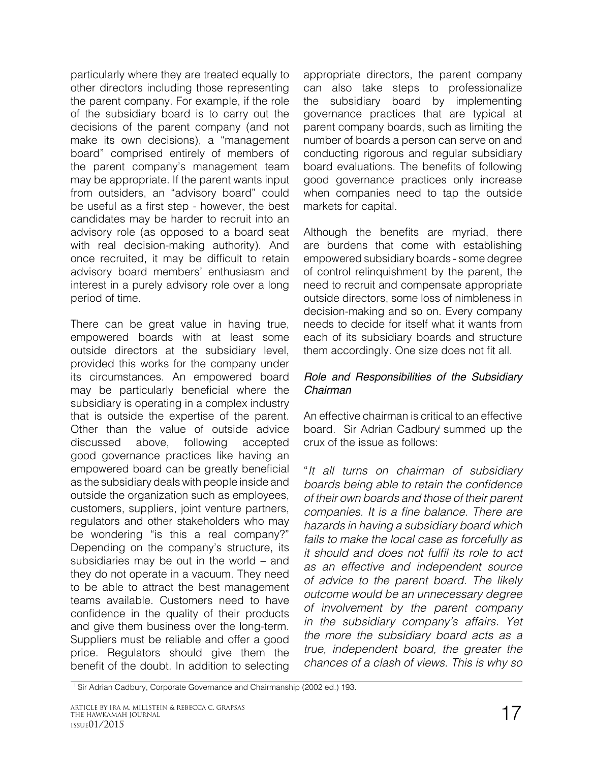particularly where they are treated equally to other directors including those representing the parent company. For example, if the role of the subsidiary board is to carry out the decisions of the parent company (and not make its own decisions), a "management board" comprised entirely of members of the parent company's management team may be appropriate. If the parent wants input from outsiders, an "advisory board" could be useful as a first step - however, the best candidates may be harder to recruit into an advisory role (as opposed to a board seat with real decision-making authority). And once recruited, it may be difficult to retain advisory board members' enthusiasm and interest in a purely advisory role over a long period of time.

There can be great value in having true, empowered boards with at least some outside directors at the subsidiary level, provided this works for the company under its circumstances. An empowered board may be particularly beneficial where the subsidiary is operating in a complex industry that is outside the expertise of the parent. Other than the value of outside advice discussed above, following accepted good governance practices like having an empowered board can be greatly beneficial as the subsidiary deals with people inside and outside the organization such as employees, customers, suppliers, joint venture partners, regulators and other stakeholders who may be wondering "is this a real company?" Depending on the company's structure, its subsidiaries may be out in the world – and they do not operate in a vacuum. They need to be able to attract the best management teams available. Customers need to have confidence in the quality of their products and give them business over the long-term. Suppliers must be reliable and offer a good price. Regulators should give them the benefit of the doubt. In addition to selecting

appropriate directors, the parent company can also take steps to professionalize the subsidiary board by implementing governance practices that are typical at parent company boards, such as limiting the number of boards a person can serve on and conducting rigorous and regular subsidiary board evaluations. The benefits of following good governance practices only increase when companies need to tap the outside markets for capital.

Although the benefits are myriad, there are burdens that come with establishing empowered subsidiary boards - some degree of control relinquishment by the parent, the need to recruit and compensate appropriate outside directors, some loss of nimbleness in decision-making and so on. Every company needs to decide for itself what it wants from each of its subsidiary boards and structure them accordingly. One size does not fit all.

#### *Role and Responsibilities of the Subsidiary Chairman*

An effective chairman is critical to an effective board. Sir Adrian Cadbury summed up the crux of the issue as follows:

"*It all turns on chairman of subsidiary*  boards being able to retain the confidence *of their own boards and those of their parent*  companies. It is a fine balance. There are *hazards in having a subsidiary board which fails to make the local case as forcefully as*  it should and does not fulfil its role to act *as an effective and independent source of advice to the parent board. The likely outcome would be an unnecessary degree of involvement by the parent company in the subsidiary company's affairs. Yet the more the subsidiary board acts as a true, independent board, the greater the chances of a clash of views. This is why so* 

<sup>&</sup>lt;sup>1</sup> Sir Adrian Cadbury, Corporate Governance and Chairmanship (2002 ed.) 193.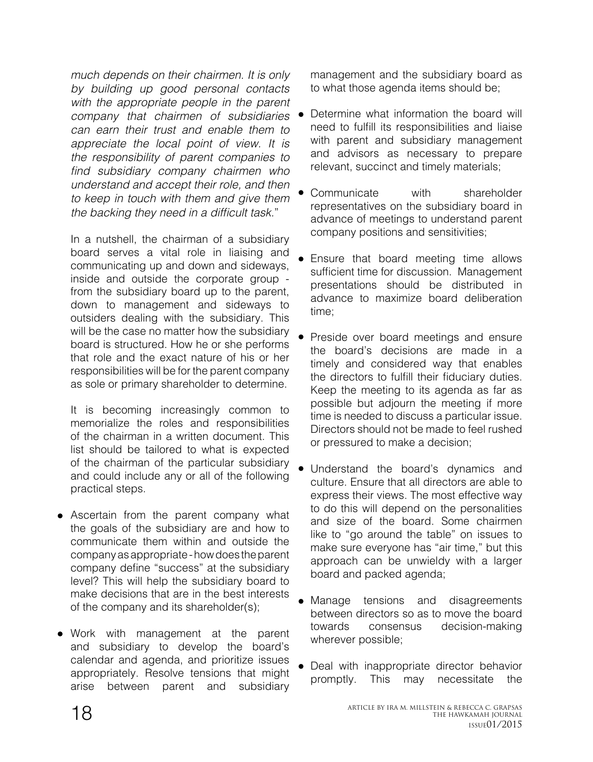*much depends on their chairmen. It is only by building up good personal contacts with the appropriate people in the parent company that chairmen of subsidiaries can earn their trust and enable them to appreciate the local point of view. It is the responsibility of parent companies to*  find subsidiary company chairmen who *understand and accept their role, and then to keep in touch with them and give them*  the backing they need in a difficult task."

In a nutshell, the chairman of a subsidiary board serves a vital role in liaising and communicating up and down and sideways, inside and outside the corporate group from the subsidiary board up to the parent, down to management and sideways to outsiders dealing with the subsidiary. This will be the case no matter how the subsidiary board is structured. How he or she performs that role and the exact nature of his or her responsibilities will be for the parent company as sole or primary shareholder to determine.

It is becoming increasingly common to memorialize the roles and responsibilities of the chairman in a written document. This list should be tailored to what is expected of the chairman of the particular subsidiary and could include any or all of the following practical steps.

- Ascertain from the parent company what the goals of the subsidiary are and how to communicate them within and outside the company as appropriate - how does the parent company define "success" at the subsidiary level? This will help the subsidiary board to make decisions that are in the best interests of the company and its shareholder(s);
- Work with management at the parent and subsidiary to develop the board's calendar and agenda, and prioritize issues appropriately. Resolve tensions that might arise between parent and subsidiary

management and the subsidiary board as to what those agenda items should be;

- Determine what information the board will need to fulfill its responsibilities and liaise with parent and subsidiary management and advisors as necessary to prepare relevant, succinct and timely materials;
- Communicate with shareholder representatives on the subsidiary board in advance of meetings to understand parent company positions and sensitivities;
- Ensure that board meeting time allows sufficient time for discussion. Management presentations should be distributed in advance to maximize board deliberation time;
- **•** Preside over board meetings and ensure the board's decisions are made in a timely and considered way that enables the directors to fulfill their fiduciary duties. Keep the meeting to its agenda as far as possible but adjourn the meeting if more time is needed to discuss a particular issue. Directors should not be made to feel rushed or pressured to make a decision;
- Understand the board's dynamics and culture. Ensure that all directors are able to express their views. The most effective way to do this will depend on the personalities and size of the board. Some chairmen like to "go around the table" on issues to make sure everyone has "air time," but this approach can be unwieldy with a larger board and packed agenda;
- Manage tensions and disagreements between directors so as to move the board towards consensus decision-making wherever possible;
- Deal with inappropriate director behavior promptly. This may necessitate the